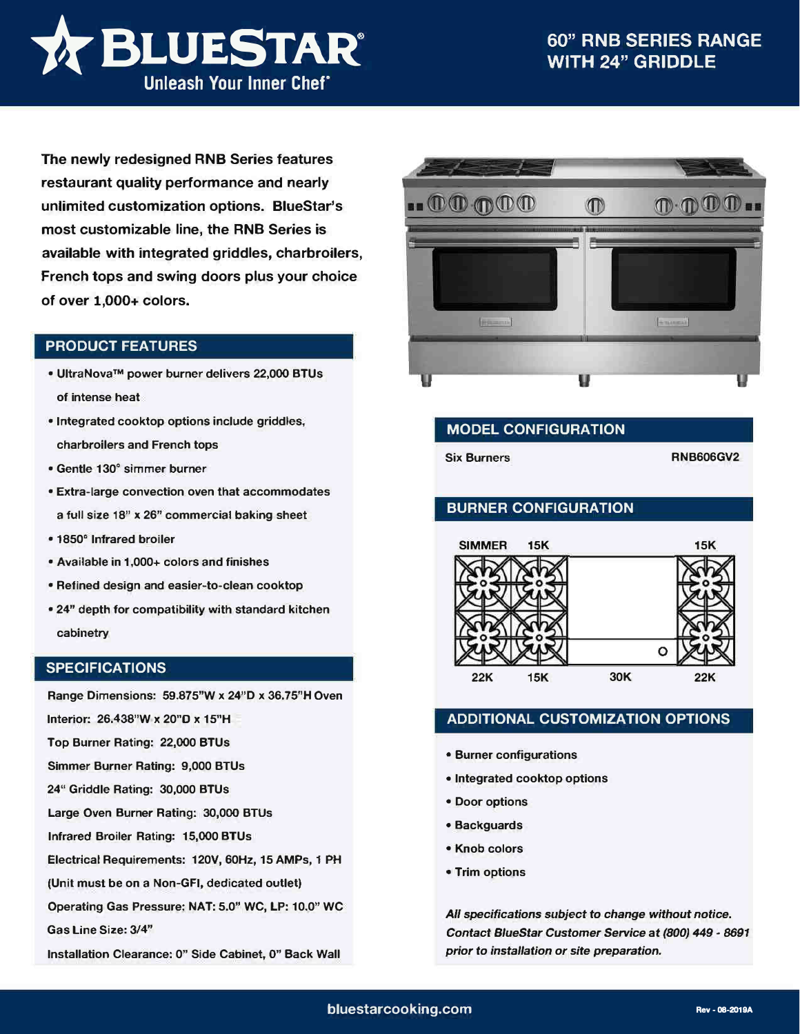

**The newly redesigned RNB Series features restaurant quality performance and nearly unlimited customization options. BlueStar's most customizable line, the RNB Series is available with integrated griddles, charbroilers, French tops and swing doors plus your choice of over 1,000+ colors.** 

#### **PRODUCT FEATURES**

- **• UltraNova™ power burner delivers 22,000 BTUs of intense heat**
- **• Integrated cooktop options include griddles, charbroilers and French tops**
- **• Gentle 130° simmer burner**
- **• Extra-large convection oven that accommodates a full size 18" x 26" commercial baking sheet**
- **• 1850° Infrared broiler**
- **• Available in 1,000+ colors and finishes**
- **• Refined design and easier-to-clean cooktop**
- **• 24" depth for compatibility with standard kitchen cabinetry**

#### **SPECIFICATIONS**

**Range Dimensions: 59.875"W x 24"D x 36.75"H Oven** 

**Interior: 26.438"W x 20"D x 15"H** 

**Top Burner Rating: 22,000 BTUs** 

**Simmer Burner Rating: 9,000 BTUs** 

**24" Griddle Rating: 30,000 BTUs** 

**Large Oven Burner Rating: 30,000 BTUs** 

**Infrared Broiler Rating: 15,000 BTUs** 

**Electrical Requirements: 120V, 60Hz, 15 AMPs, 1 PH** 

**(Unit must be on a Non-GFI, dedicated outlet)** 

**Operating Gas Pressure: NAT: 5.0" WC, LP: 10.0" WC** 

**Gas Line Size: 3/4"** 

**Installation Clearance: 0" Side Cabinet, O" Back Wall** 



## **MODEL CONFIGURATION**

**Six Burners** 

**RNB606GV2** 

# **BURNER CONFIGURATION**



## **ADDITIONAL CUSTOMIZATION OPTIONS**

- **• Burner configurations**
- **• Integrated cooktop options**
- **• Door options**
- **• Backguards**
- **• Knob colors**
- **• Trim options**

*All specifications subject to change without notice. Contact BlueStar Customer Service* **at** *(800) 449* - *8691 prior to installation or site preparation.*